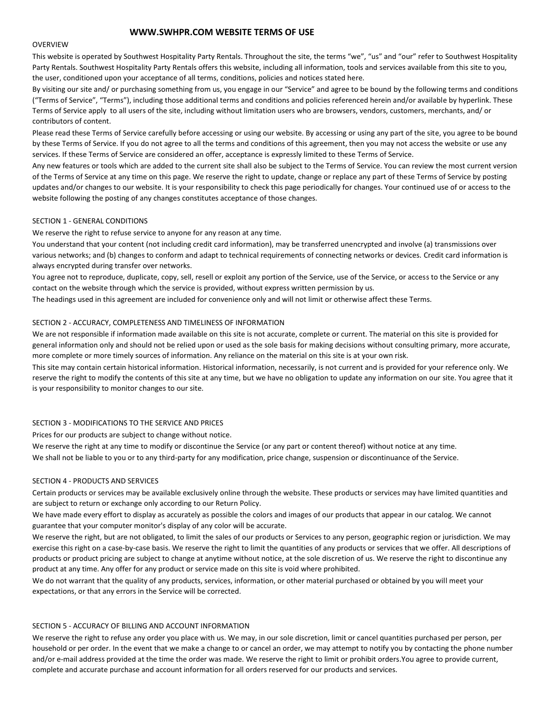# **WWW.SWHPR.COM WEBSITE TERMS OF USE**

### OVERVIEW

This website is operated by Southwest Hospitality Party Rentals. Throughout the site, the terms "we", "us" and "our" refer to Southwest Hospitality Party Rentals. Southwest Hospitality Party Rentals offers this website, including all information, tools and services available from this site to you, the user, conditioned upon your acceptance of all terms, conditions, policies and notices stated here.

By visiting our site and/ or purchasing something from us, you engage in our "Service" and agree to be bound by the following terms and conditions ("Terms of Service", "Terms"), including those additional terms and conditions and policies referenced herein and/or available by hyperlink. These Terms of Service apply to all users of the site, including without limitation users who are browsers, vendors, customers, merchants, and/ or contributors of content.

Please read these Terms of Service carefully before accessing or using our website. By accessing or using any part of the site, you agree to be bound by these Terms of Service. If you do not agree to all the terms and conditions of this agreement, then you may not access the website or use any services. If these Terms of Service are considered an offer, acceptance is expressly limited to these Terms of Service.

Any new features or tools which are added to the current site shall also be subject to the Terms of Service. You can review the most current version of the Terms of Service at any time on this page. We reserve the right to update, change or replace any part of these Terms of Service by posting updates and/or changes to our website. It is your responsibility to check this page periodically for changes. Your continued use of or access to the website following the posting of any changes constitutes acceptance of those changes.

# SECTION 1 - GENERAL CONDITIONS

We reserve the right to refuse service to anyone for any reason at any time.

You understand that your content (not including credit card information), may be transferred unencrypted and involve (a) transmissions over various networks; and (b) changes to conform and adapt to technical requirements of connecting networks or devices. Credit card information is always encrypted during transfer over networks.

You agree not to reproduce, duplicate, copy, sell, resell or exploit any portion of the Service, use of the Service, or access to the Service or any contact on the website through which the service is provided, without express written permission by us.

The headings used in this agreement are included for convenience only and will not limit or otherwise affect these Terms.

## SECTION 2 - ACCURACY, COMPLETENESS AND TIMELINESS OF INFORMATION

We are not responsible if information made available on this site is not accurate, complete or current. The material on this site is provided for general information only and should not be relied upon or used as the sole basis for making decisions without consulting primary, more accurate, more complete or more timely sources of information. Any reliance on the material on this site is at your own risk.

This site may contain certain historical information. Historical information, necessarily, is not current and is provided for your reference only. We reserve the right to modify the contents of this site at any time, but we have no obligation to update any information on our site. You agree that it is your responsibility to monitor changes to our site.

## SECTION 3 - MODIFICATIONS TO THE SERVICE AND PRICES

Prices for our products are subject to change without notice.

We reserve the right at any time to modify or discontinue the Service (or any part or content thereof) without notice at any time.

We shall not be liable to you or to any third-party for any modification, price change, suspension or discontinuance of the Service.

## SECTION 4 - PRODUCTS AND SERVICES

Certain products or services may be available exclusively online through the website. These products or services may have limited quantities and are subject to return or exchange only according to our Return Policy.

We have made every effort to display as accurately as possible the colors and images of our products that appear in our catalog. We cannot guarantee that your computer monitor's display of any color will be accurate.

We reserve the right, but are not obligated, to limit the sales of our products or Services to any person, geographic region or jurisdiction. We may exercise this right on a case-by-case basis. We reserve the right to limit the quantities of any products or services that we offer. All descriptions of products or product pricing are subject to change at anytime without notice, at the sole discretion of us. We reserve the right to discontinue any product at any time. Any offer for any product or service made on this site is void where prohibited.

We do not warrant that the quality of any products, services, information, or other material purchased or obtained by you will meet your expectations, or that any errors in the Service will be corrected.

#### SECTION 5 - ACCURACY OF BILLING AND ACCOUNT INFORMATION

We reserve the right to refuse any order you place with us. We may, in our sole discretion, limit or cancel quantities purchased per person, per household or per order. In the event that we make a change to or cancel an order, we may attempt to notify you by contacting the phone number and/or e-mail address provided at the time the order was made. We reserve the right to limit or prohibit orders.You agree to provide current, complete and accurate purchase and account information for all orders reserved for our products and services.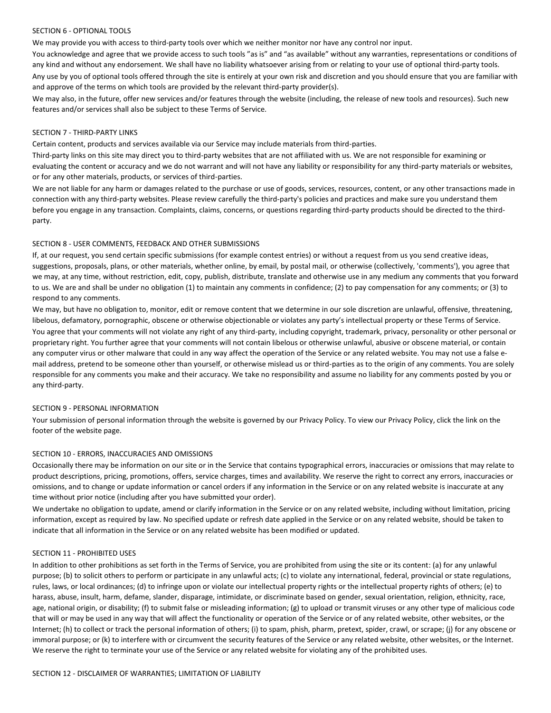## SECTION 6 - OPTIONAL TOOLS

We may provide you with access to third-party tools over which we neither monitor nor have any control nor input.

You acknowledge and agree that we provide access to such tools "as is" and "as available" without any warranties, representations or conditions of any kind and without any endorsement. We shall have no liability whatsoever arising from or relating to your use of optional third-party tools. Any use by you of optional tools offered through the site is entirely at your own risk and discretion and you should ensure that you are familiar with and approve of the terms on which tools are provided by the relevant third-party provider(s).

We may also, in the future, offer new services and/or features through the website (including, the release of new tools and resources). Such new features and/or services shall also be subject to these Terms of Service.

## SECTION 7 - THIRD-PARTY LINKS

Certain content, products and services available via our Service may include materials from third-parties.

Third-party links on this site may direct you to third-party websites that are not affiliated with us. We are not responsible for examining or evaluating the content or accuracy and we do not warrant and will not have any liability or responsibility for any third-party materials or websites, or for any other materials, products, or services of third-parties.

We are not liable for any harm or damages related to the purchase or use of goods, services, resources, content, or any other transactions made in connection with any third-party websites. Please review carefully the third-party's policies and practices and make sure you understand them before you engage in any transaction. Complaints, claims, concerns, or questions regarding third-party products should be directed to the thirdparty.

#### SECTION 8 - USER COMMENTS, FEEDBACK AND OTHER SUBMISSIONS

If, at our request, you send certain specific submissions (for example contest entries) or without a request from us you send creative ideas, suggestions, proposals, plans, or other materials, whether online, by email, by postal mail, or otherwise (collectively, 'comments'), you agree that we may, at any time, without restriction, edit, copy, publish, distribute, translate and otherwise use in any medium any comments that you forward to us. We are and shall be under no obligation (1) to maintain any comments in confidence; (2) to pay compensation for any comments; or (3) to respond to any comments.

We may, but have no obligation to, monitor, edit or remove content that we determine in our sole discretion are unlawful, offensive, threatening, libelous, defamatory, pornographic, obscene or otherwise objectionable or violates any party's intellectual property or these Terms of Service. You agree that your comments will not violate any right of any third-party, including copyright, trademark, privacy, personality or other personal or proprietary right. You further agree that your comments will not contain libelous or otherwise unlawful, abusive or obscene material, or contain any computer virus or other malware that could in any way affect the operation of the Service or any related website. You may not use a false email address, pretend to be someone other than yourself, or otherwise mislead us or third-parties as to the origin of any comments. You are solely responsible for any comments you make and their accuracy. We take no responsibility and assume no liability for any comments posted by you or any third-party.

#### SECTION 9 - PERSONAL INFORMATION

Your submission of personal information through the website is governed by our Privacy Policy. To view our Privacy Policy, click the link on the footer of the website page.

#### SECTION 10 - ERRORS, INACCURACIES AND OMISSIONS

Occasionally there may be information on our site or in the Service that contains typographical errors, inaccuracies or omissions that may relate to product descriptions, pricing, promotions, offers, service charges, times and availability. We reserve the right to correct any errors, inaccuracies or omissions, and to change or update information or cancel orders if any information in the Service or on any related website is inaccurate at any time without prior notice (including after you have submitted your order).

We undertake no obligation to update, amend or clarify information in the Service or on any related website, including without limitation, pricing information, except as required by law. No specified update or refresh date applied in the Service or on any related website, should be taken to indicate that all information in the Service or on any related website has been modified or updated.

#### SECTION 11 - PROHIBITED USES

In addition to other prohibitions as set forth in the Terms of Service, you are prohibited from using the site or its content: (a) for any unlawful purpose; (b) to solicit others to perform or participate in any unlawful acts; (c) to violate any international, federal, provincial or state regulations, rules, laws, or local ordinances; (d) to infringe upon or violate our intellectual property rights or the intellectual property rights of others; (e) to harass, abuse, insult, harm, defame, slander, disparage, intimidate, or discriminate based on gender, sexual orientation, religion, ethnicity, race, age, national origin, or disability; (f) to submit false or misleading information; (g) to upload or transmit viruses or any other type of malicious code that will or may be used in any way that will affect the functionality or operation of the Service or of any related website, other websites, or the Internet; (h) to collect or track the personal information of others; (i) to spam, phish, pharm, pretext, spider, crawl, or scrape; (j) for any obscene or immoral purpose; or (k) to interfere with or circumvent the security features of the Service or any related website, other websites, or the Internet. We reserve the right to terminate your use of the Service or any related website for violating any of the prohibited uses.